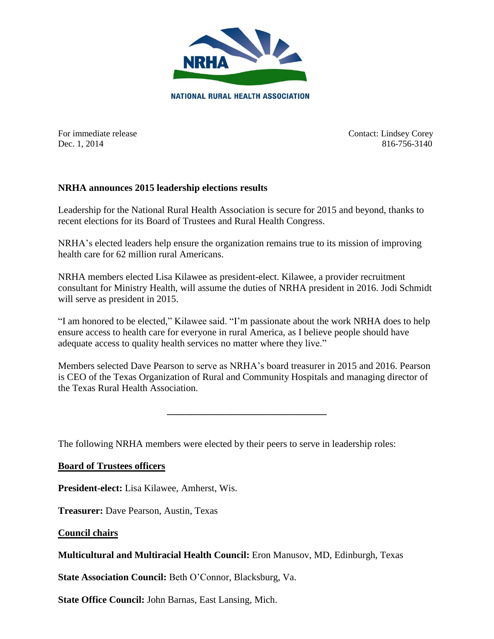

For immediate release Contact: Lindsey Corey Dec. 1, 2014 816-756-3140

## **NRHA announces 2015 leadership elections results**

Leadership for the National Rural Health Association is secure for 2015 and beyond, thanks to recent elections for its Board of Trustees and Rural Health Congress.

NRHA's elected leaders help ensure the organization remains true to its mission of improving health care for 62 million rural Americans.

NRHA members elected Lisa Kilawee as president-elect. Kilawee, a provider recruitment consultant for Ministry Health, will assume the duties of NRHA president in 2016. Jodi Schmidt will serve as president in 2015.

"I am honored to be elected," Kilawee said. "I'm passionate about the work NRHA does to help ensure access to health care for everyone in rural America, as I believe people should have adequate access to quality health services no matter where they live."

Members selected Dave Pearson to serve as NRHA's board treasurer in 2015 and 2016. Pearson is CEO of the Texas Organization of Rural and Community Hospitals and managing director of the Texas Rural Health Association.

**\_\_\_\_\_\_\_\_\_\_\_\_\_\_\_\_\_\_\_\_\_\_\_\_\_\_\_\_\_\_\_\_\_**

The following NRHA members were elected by their peers to serve in leadership roles:

## **Board of Trustees officers**

**President-elect:** Lisa Kilawee, Amherst, Wis.

**Treasurer:** Dave Pearson, Austin, Texas

**Council chairs**

## **Multicultural and Multiracial Health Council:** Eron Manusov, MD, Edinburgh, Texas

**State Association Council:** Beth O'Connor, Blacksburg, Va.

**State Office Council:** John Barnas, East Lansing, Mich.